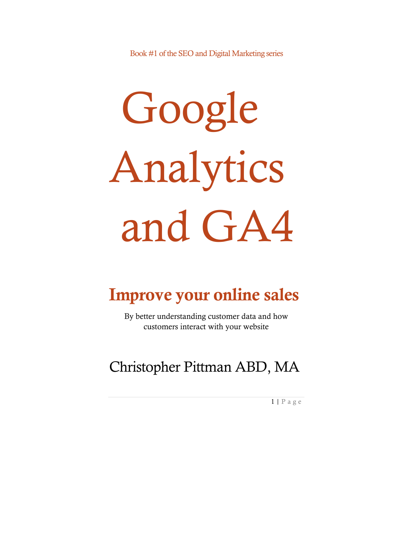Book #1 of the SEO and Digital Marketing series

# Google Analytics and GA4

# Improve your online sales

By better understanding customer data and how customers interact with your website

# Christopher Pittman ABD, MA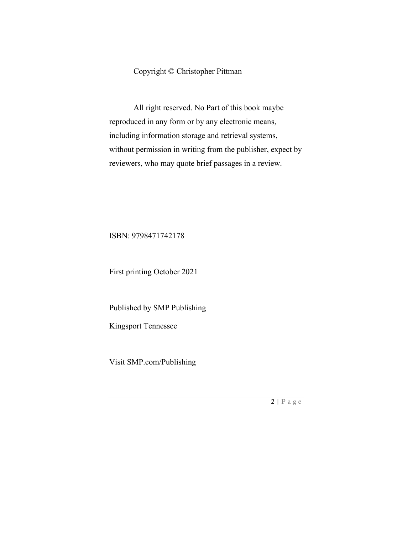#### Copyright © Christopher Pittman

All right reserved. No Part of this book maybe reproduced in any form or by any electronic means, including information storage and retrieval systems, without permission in writing from the publisher, expect by reviewers, who may quote brief passages in a review.

#### ISBN: 9798471742178

First printing October 2021

Published by SMP Publishing

Kingsport Tennessee

Visit SMP.com/Publishing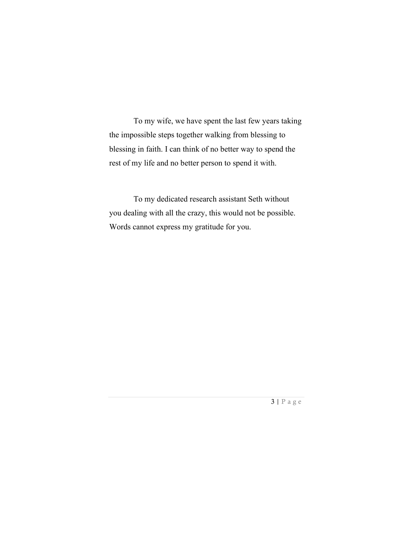To my wife, we have spent the last few years taking the impossible steps together walking from blessing to blessing in faith. I can think of no better way to spend the rest of my life and no better person to spend it with.

To my dedicated research assistant Seth without you dealing with all the crazy, this would not be possible. Words cannot express my gratitude for you.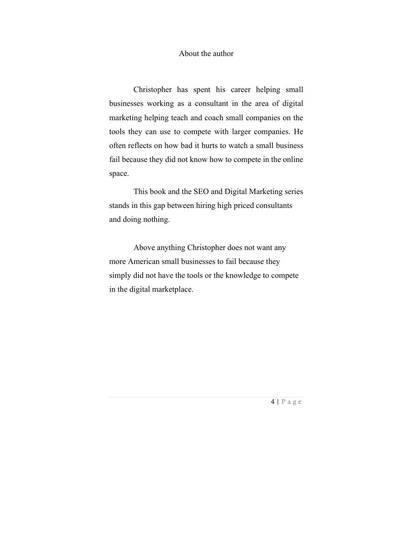#### About the author

Christopher has spent his career helping small businesses working as a consultant in the area of digital marketing helping teach and coach small companies on the tools they can use to compete with larger companies. He often reflects on how bad it hurts to watch a small business fail because they did not know how to compete in the online space.

This book and the SEO and Digital Marketing series stands in this gap between hiring high priced consultants and doing nothing.

Above anything Christopher does not want any more American small businesses to fail because they simply did not have the tools or the knowledge to compete in the digital marketplace.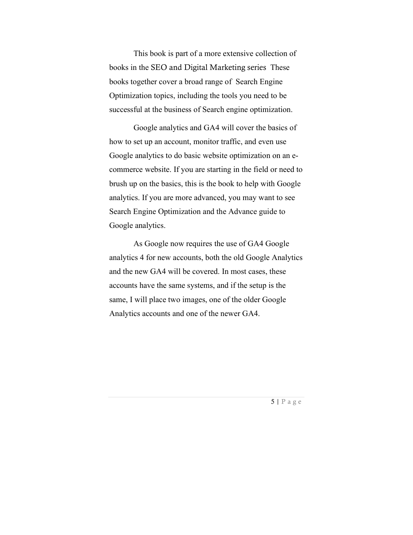This book is part of a more extensive collection of books in the SEO and Digital Marketing series These books together cover a broad range of Search Engine Optimization topics, including the tools you need to be successful at the business of Search engine optimization.

Google analytics and GA4 will cover the basics of how to set up an account, monitor traffic, and even use Google analytics to do basic website optimization on an ecommerce website. If you are starting in the field or need to brush up on the basics, this is the book to help with Google analytics. If you are more advanced, you may want to see Search Engine Optimization and the Advance guide to Google analytics.

As Google now requires the use of GA4 Google analytics 4 for new accounts, both the old Google Analytics and the new GA4 will be covered. In most cases, these accounts have the same systems, and if the setup is the same, I will place two images, one of the older Google Analytics accounts and one of the newer GA4.

 $5 | P \text{ a g e}$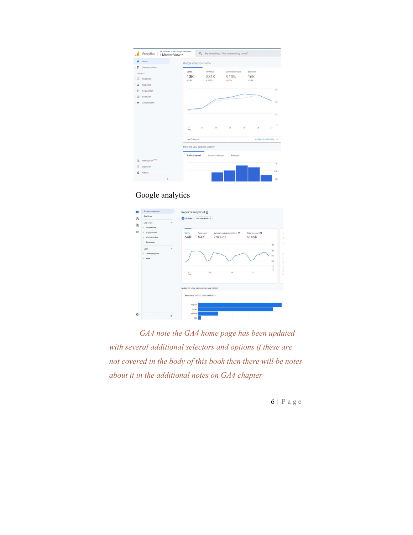|         | Analytics                        | All accounts > UA - Google Merchandi<br>1 Master View - | Q Try searching "Top channels by users" |                   |                     |                     |  |
|---------|----------------------------------|---------------------------------------------------------|-----------------------------------------|-------------------|---------------------|---------------------|--|
| ٠       | Home                             | Google Analytics Home                                   |                                         |                   |                     |                     |  |
| $+37.$  | Customization                    |                                                         |                                         |                   |                     |                     |  |
| REPORTS |                                  | Users                                                   | Revenue                                 | Conversion Rate   | Sessions            |                     |  |
|         | > © Realtime                     | 13K<br>15.8%                                            | <b>S31K</b><br>4 24.3%                  | 3.13%<br>124.5%   | <b>16K</b><br>15.3% |                     |  |
| ՟       | Audience                         |                                                         |                                         |                   |                     |                     |  |
| $+3+$   | Acquisition                      |                                                         |                                         |                   |                     | 38                  |  |
|         | $\triangleright$ $\Box$ Behavior |                                                         |                                         |                   |                     |                     |  |
|         | Conversions                      |                                                         |                                         | <b>CONTRACTOR</b> |                     | 28                  |  |
|         |                                  |                                                         |                                         |                   |                     |                     |  |
|         |                                  | <b>CONTRACTOR</b>                                       |                                         |                   |                     |                     |  |
|         |                                  |                                                         |                                         |                   |                     | 180                 |  |
|         |                                  |                                                         |                                         |                   |                     | ō                   |  |
|         |                                  | $\overline{z}$<br>21 <sub>00</sub>                      | 23                                      | 24<br>25          | 26                  | 27                  |  |
|         |                                  |                                                         |                                         |                   |                     |                     |  |
|         |                                  | Last 7 days =                                           |                                         |                   |                     | AUDIENCE OVERVIEW > |  |
|         |                                  | How do you acquire users?                               |                                         |                   |                     |                     |  |
|         |                                  |                                                         |                                         |                   |                     |                     |  |
|         |                                  | <b>Traffic Channel</b>                                  | Source / Medium                         | Referrals         |                     |                     |  |
| 5       | Attribution <sup>ers</sup>       |                                                         |                                         |                   |                     |                     |  |
| O       | Discover                         |                                                         |                                         |                   |                     | 56                  |  |
| ٠       | Admin                            |                                                         |                                         |                   |                     | 2.5K                |  |
|         | $\epsilon$                       |                                                         |                                         |                   |                     | 2k                  |  |

#### Google analytics



 GA4 note the GA4 home page has been updated with several additional selectors and options if these are not covered in the body of this book then there will be notes about it in the additional notes on GA4 chapter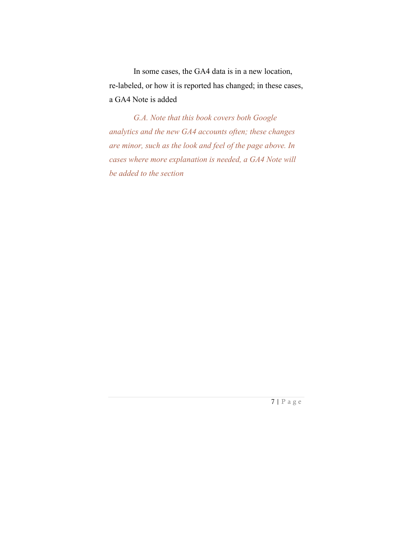In some cases, the GA4 data is in a new location, re-labeled, or how it is reported has changed; in these cases, a GA4 Note is added

G.A. Note that this book covers both Google analytics and the new GA4 accounts often; these changes are minor, such as the look and feel of the page above. In cases where more explanation is needed, a GA4 Note will be added to the section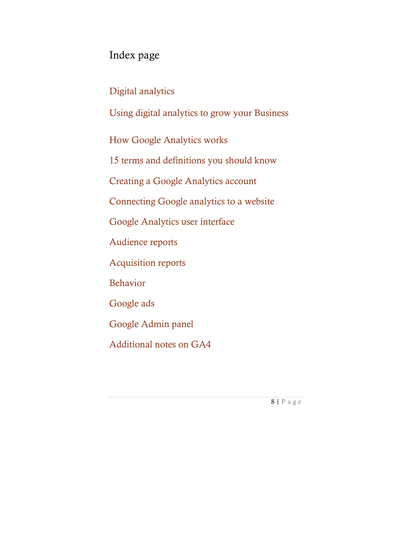## Index page

Digital analytics

Using digital analytics to grow your Business

How Google Analytics works

15 terms and definitions you should know

Creating a Google Analytics account

Connecting Google analytics to a website

Google Analytics user interface

Audience reports

Acquisition reports

Behavior

Google ads

Google Admin panel

Additional notes on GA4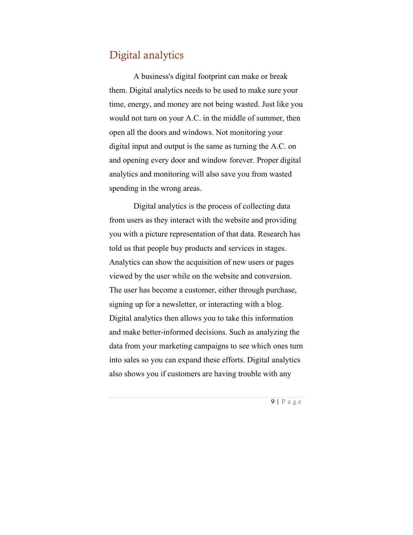#### Digital analytics

A business's digital footprint can make or break them. Digital analytics needs to be used to make sure your time, energy, and money are not being wasted. Just like you would not turn on your A.C. in the middle of summer, then open all the doors and windows. Not monitoring your digital input and output is the same as turning the A.C. on and opening every door and window forever. Proper digital analytics and monitoring will also save you from wasted spending in the wrong areas.

Digital analytics is the process of collecting data from users as they interact with the website and providing you with a picture representation of that data. Research has told us that people buy products and services in stages. Analytics can show the acquisition of new users or pages viewed by the user while on the website and conversion. The user has become a customer, either through purchase, signing up for a newsletter, or interacting with a blog. Digital analytics then allows you to take this information and make better-informed decisions. Such as analyzing the data from your marketing campaigns to see which ones turn into sales so you can expand these efforts. Digital analytics also shows you if customers are having trouble with any

 $9 | P \text{ a g e}$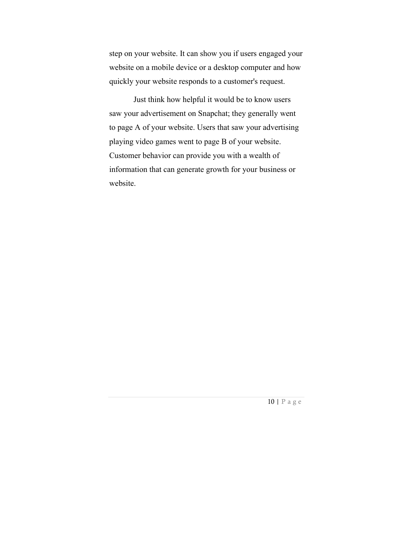step on your website. It can show you if users engaged your website on a mobile device or a desktop computer and how quickly your website responds to a customer's request.

Just think how helpful it would be to know users saw your advertisement on Snapchat; they generally went to page A of your website. Users that saw your advertising playing video games went to page B of your website. Customer behavior can provide you with a wealth of information that can generate growth for your business or website.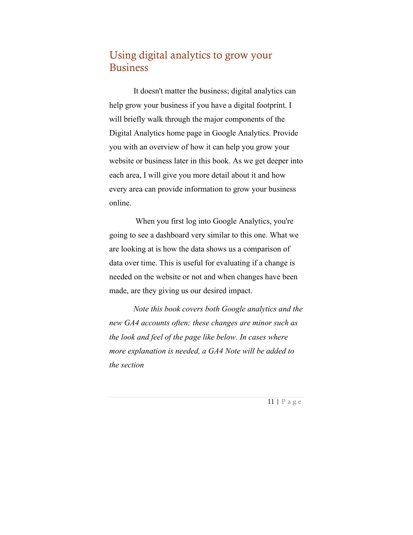### Using digital analytics to grow your Business

It doesn't matter the business; digital analytics can help grow your business if you have a digital footprint. I will briefly walk through the major components of the Digital Analytics home page in Google Analytics. Provide you with an overview of how it can help you grow your website or business later in this book. As we get deeper into each area, I will give you more detail about it and how every area can provide information to grow your business online.

 When you first log into Google Analytics, you're going to see a dashboard very similar to this one. What we are looking at is how the data shows us a comparison of data over time. This is useful for evaluating if a change is needed on the website or not and when changes have been made, are they giving us our desired impact.

Note this book covers both Google analytics and the new GA4 accounts often; these changes are minor such as the look and feel of the page like below. In cases where more explanation is needed, a GA4 Note will be added to the section